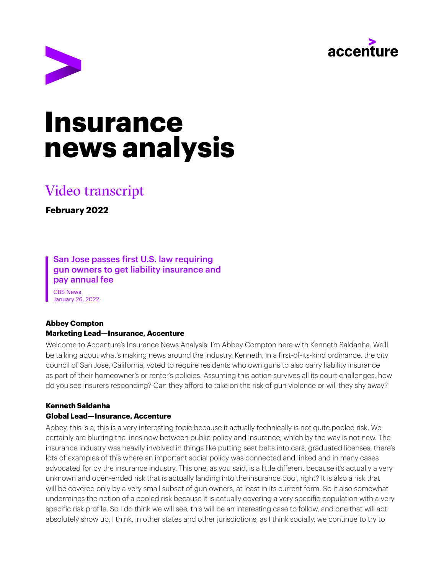



# **Insurance news analysis**

# Video transcript

**February 2022**

# San Jose passes first U.S. law requiring gun owners to get liability insurance and pay annual fee

CBS News January 26, 2022

# **Abbey Compton Marketing Lead—Insurance, Accenture**

Welcome to Accenture's Insurance News Analysis. I'm Abbey Compton here with Kenneth Saldanha. We'll be talking about what's making news around the industry. Kenneth, in a first-of-its-kind ordinance, the city council of San Jose, California, voted to require residents who own guns to also carry liability insurance as part of their homeowner's or renter's policies. Assuming this action survives all its court challenges, how do you see insurers responding? Can they afford to take on the risk of gun violence or will they shy away?

# **Kenneth Saldanha**

# **Global Lead—Insurance, Accenture**

Abbey, this is a, this is a very interesting topic because it actually technically is not quite pooled risk. We certainly are blurring the lines now between public policy and insurance, which by the way is not new. The insurance industry was heavily involved in things like putting seat belts into cars, graduated licenses, there's lots of examples of this where an important social policy was connected and linked and in many cases advocated for by the insurance industry. This one, as you said, is a little different because it's actually a very unknown and open-ended risk that is actually landing into the insurance pool, right? It is also a risk that will be covered only by a very small subset of gun owners, at least in its current form. So it also somewhat undermines the notion of a pooled risk because it is actually covering a very specific population with a very specific risk profile. So I do think we will see, this will be an interesting case to follow, and one that will act absolutely show up, I think, in other states and other jurisdictions, as I think socially, we continue to try to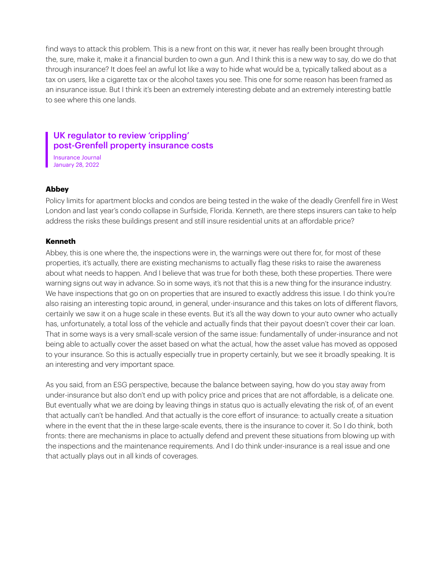find ways to attack this problem. This is a new front on this war, it never has really been brought through the, sure, make it, make it a financial burden to own a gun. And I think this is a new way to say, do we do that through insurance? It does feel an awful lot like a way to hide what would be a, typically talked about as a tax on users, like a cigarette tax or the alcohol taxes you see. This one for some reason has been framed as an insurance issue. But I think it's been an extremely interesting debate and an extremely interesting battle to see where this one lands.

# UK regulator to review 'crippling' post-Grenfell property insurance costs

Insurance Journal January 28, 2022

#### **Abbey**

Policy limits for apartment blocks and condos are being tested in the wake of the deadly Grenfell fire in West London and last year's condo collapse in Surfside, Florida. Kenneth, are there steps insurers can take to help address the risks these buildings present and still insure residential units at an affordable price?

#### **Kenneth**

Abbey, this is one where the, the inspections were in, the warnings were out there for, for most of these properties, it's actually, there are existing mechanisms to actually flag these risks to raise the awareness about what needs to happen. And I believe that was true for both these, both these properties. There were warning signs out way in advance. So in some ways, it's not that this is a new thing for the insurance industry. We have inspections that go on on properties that are insured to exactly address this issue. I do think you're also raising an interesting topic around, in general, under-insurance and this takes on lots of different flavors, certainly we saw it on a huge scale in these events. But it's all the way down to your auto owner who actually has, unfortunately, a total loss of the vehicle and actually finds that their payout doesn't cover their car loan. That in some ways is a very small-scale version of the same issue: fundamentally of under-insurance and not being able to actually cover the asset based on what the actual, how the asset value has moved as opposed to your insurance. So this is actually especially true in property certainly, but we see it broadly speaking. It is an interesting and very important space.

As you said, from an ESG perspective, because the balance between saying, how do you stay away from under-insurance but also don't end up with policy price and prices that are not affordable, is a delicate one. But eventually what we are doing by leaving things in status quo is actually elevating the risk of, of an event that actually can't be handled. And that actually is the core effort of insurance: to actually create a situation where in the event that the in these large-scale events, there is the insurance to cover it. So I do think, both fronts: there are mechanisms in place to actually defend and prevent these situations from blowing up with the inspections and the maintenance requirements. And I do think under-insurance is a real issue and one that actually plays out in all kinds of coverages.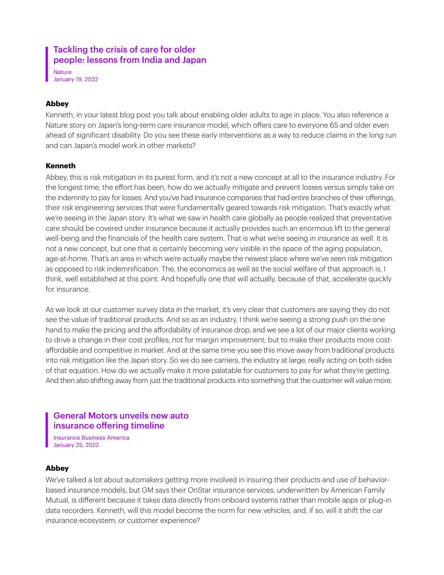# Tackling the crisis of care for older people: lessons from India and Japan

Nature January 19, 2022

## **Abbey**

Kenneth, in your latest blog post you talk about enabling older adults to age in place. You also reference a Nature story on Japan's long-term care insurance model, which offers care to everyone 65 and older even ahead of significant disability. Do you see these early interventions as a way to reduce claims in the long run and can Japan's model work in other markets?

### **Kenneth**

Abbey, this is risk mitigation in its purest form, and it's not a new concept at all to the insurance industry. For the longest time, the effort has been, how do we actually mitigate and prevent losses versus simply take on the indemnity to pay for losses. And you've had insurance companies that had entire branches of their offerings, their risk engineering services that were fundamentally geared towards risk mitigation. That's exactly what we're seeing in the Japan story. It's what we saw in health care globally as people realized that preventative care should be covered under insurance because it actually provides such an enormous lift to the general well-being and the financials of the health care system. That is what we're seeing in insurance as well. It is not a new concept, but one that is certainly becoming very visible in the space of the aging population, age-at-home. That's an area in which we're actually maybe the newest place where we've seen risk mitigation as opposed to risk indemnification. The, the economics as well as the social welfare of that approach is, I think, well established at this point. And hopefully one that will actually, because of that, accelerate quickly for insurance.

As we look at our customer survey data in the market, it's very clear that customers are saying they do not see the value of traditional products. And so as an industry, I think we're seeing a strong push on the one hand to make the pricing and the affordability of insurance drop, and we see a lot of our major clients working to drive a change in their cost profiles, not for margin improvement, but to make their products more costaffordable and competitive in market. And at the same time you see this move away from traditional products into risk mitigation like the Japan story. So we do see carriers, the industry at large, really acting on both sides of that equation. How do we actually make it more palatable for customers to pay for what they're getting. And then also shifting away from just the traditional products into something that the customer will value more.

# General Motors unveils new auto insurance offering timeline

Insurance Business America January 25, 2022

#### **Abbey**

We've talked a lot about automakers getting more involved in insuring their products and use of behaviorbased insurance models, but GM says their OnStar insurance services, underwritten by American Family Mutual, is different because it takes data directly from onboard systems rather than mobile apps or plug-in data recorders. Kenneth, will this model become the norm for new vehicles, and, if so, will it shift the car insurance ecosystem, or customer experience?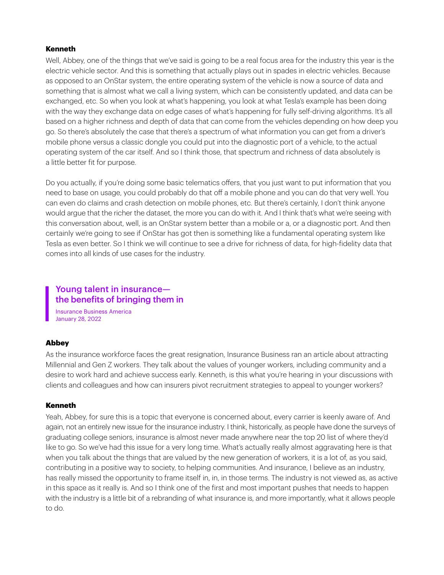#### **Kenneth**

Well, Abbey, one of the things that we've said is going to be a real focus area for the industry this year is the electric vehicle sector. And this is something that actually plays out in spades in electric vehicles. Because as opposed to an OnStar system, the entire operating system of the vehicle is now a source of data and something that is almost what we call a living system, which can be consistently updated, and data can be exchanged, etc. So when you look at what's happening, you look at what Tesla's example has been doing with the way they exchange data on edge cases of what's happening for fully self-driving algorithms. It's all based on a higher richness and depth of data that can come from the vehicles depending on how deep you go. So there's absolutely the case that there's a spectrum of what information you can get from a driver's mobile phone versus a classic dongle you could put into the diagnostic port of a vehicle, to the actual operating system of the car itself. And so I think those, that spectrum and richness of data absolutely is a little better fit for purpose.

Do you actually, if you're doing some basic telematics offers, that you just want to put information that you need to base on usage, you could probably do that off a mobile phone and you can do that very well. You can even do claims and crash detection on mobile phones, etc. But there's certainly, I don't think anyone would argue that the richer the dataset, the more you can do with it. And I think that's what we're seeing with this conversation about, well, is an OnStar system better than a mobile or a, or a diagnostic port. And then certainly we're going to see if OnStar has got then is something like a fundamental operating system like Tesla as even better. So I think we will continue to see a drive for richness of data, for high-fidelity data that comes into all kinds of use cases for the industry.

# Young talent in insurance the benefits of bringing them in

Insurance Business America January 28, 2022

#### Abbey

As the insurance workforce faces the great resignation, Insurance Business ran an article about attracting Millennial and Gen Z workers. They talk about the values of younger workers, including community and a desire to work hard and achieve success early. Kenneth, is this what you're hearing in your discussions with clients and colleagues and how can insurers pivot recruitment strategies to appeal to younger workers?

#### Kenneth

Yeah, Abbey, for sure this is a topic that everyone is concerned about, every carrier is keenly aware of. And again, not an entirely new issue for the insurance industry. I think, historically, as people have done the surveys of graduating college seniors, insurance is almost never made anywhere near the top 20 list of where they'd like to go. So we've had this issue for a very long time. What's actually really almost aggravating here is that when you talk about the things that are valued by the new generation of workers, it is a lot of, as you said, contributing in a positive way to society, to helping communities. And insurance, I believe as an industry, has really missed the opportunity to frame itself in, in, in those terms. The industry is not viewed as, as active in this space as it really is. And so I think one of the first and most important pushes that needs to happen with the industry is a little bit of a rebranding of what insurance is, and more importantly, what it allows people to do.